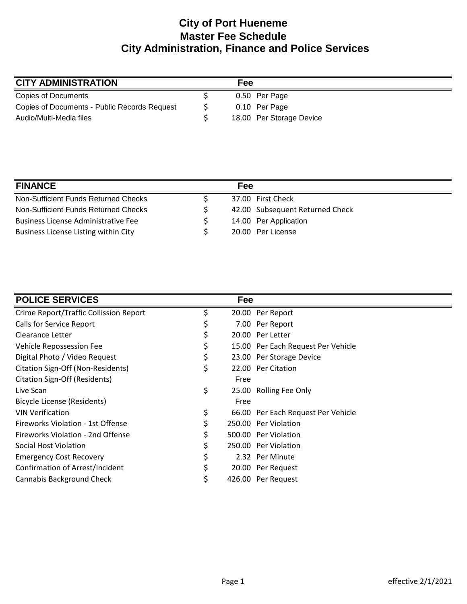## **City of Port Hueneme Master Fee Schedule City Administration, Finance and Police Services**

| <b>CITY ADMINISTRATION</b>                   | Fee |                          |
|----------------------------------------------|-----|--------------------------|
| Copies of Documents                          |     | 0.50 Per Page            |
| Copies of Documents - Public Records Request |     | 0.10 Per Page            |
| Audio/Multi-Media files                      |     | 18.00 Per Storage Device |

| <b>FINANCE</b>                             | Fee                             |
|--------------------------------------------|---------------------------------|
| Non-Sufficient Funds Returned Checks       | 37.00 First Check               |
| Non-Sufficient Funds Returned Checks       | 42.00 Subsequent Returned Check |
| <b>Business License Administrative Fee</b> | 14.00 Per Application           |
| Business License Listing within City       | 20.00 Per License               |

| <b>POLICE SERVICES</b>                 |    | Fee  |                                    |
|----------------------------------------|----|------|------------------------------------|
| Crime Report/Traffic Collission Report | Ş  |      | 20.00 Per Report                   |
| Calls for Service Report               | \$ |      | 7.00 Per Report                    |
| Clearance Letter                       | \$ |      | 20.00 Per Letter                   |
| Vehicle Repossession Fee               |    |      | 15.00 Per Each Request Per Vehicle |
| Digital Photo / Video Request          | \$ |      | 23.00 Per Storage Device           |
| Citation Sign-Off (Non-Residents)      | \$ |      | 22.00 Per Citation                 |
| Citation Sign-Off (Residents)          |    | Free |                                    |
| Live Scan                              | \$ |      | 25.00 Rolling Fee Only             |
| Bicycle License (Residents)            |    | Free |                                    |
| <b>VIN Verification</b>                | \$ |      | 66.00 Per Each Request Per Vehicle |
| Fireworks Violation - 1st Offense      | \$ |      | 250.00 Per Violation               |
| Fireworks Violation - 2nd Offense      |    |      | 500.00 Per Violation               |
| Social Host Violation                  |    |      | 250.00 Per Violation               |
| <b>Emergency Cost Recovery</b>         |    |      | 2.32 Per Minute                    |
| Confirmation of Arrest/Incident        |    |      | 20.00 Per Request                  |
| Cannabis Background Check              | \$ |      | 426.00 Per Request                 |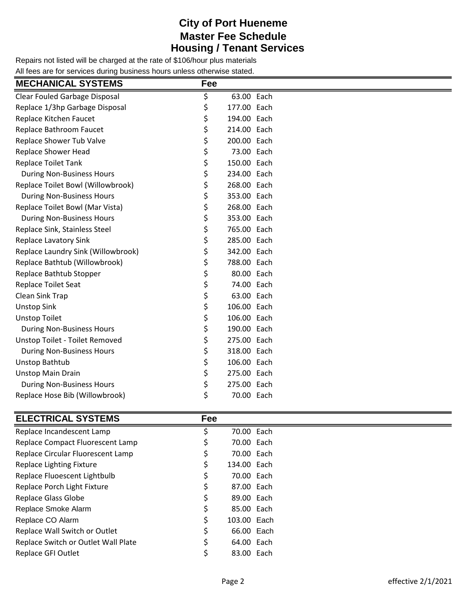### **City of Port Hueneme Master Fee Schedule Housing / Tenant Services**

Repairs not listed will be charged at the rate of \$106/hour plus materials All fees are for services during business hours unless otherwise stated.

| <b>MECHANICAL SYSTEMS</b>          | Fee |             |  |
|------------------------------------|-----|-------------|--|
| Clear Fouled Garbage Disposal      | \$  | 63.00 Each  |  |
| Replace 1/3hp Garbage Disposal     | \$  | 177.00 Each |  |
| Replace Kitchen Faucet             | \$  | 194.00 Each |  |
| Replace Bathroom Faucet            | \$  | 214.00 Each |  |
| Replace Shower Tub Valve           | \$  | 200.00 Each |  |
| <b>Replace Shower Head</b>         | \$  | 73.00 Each  |  |
| <b>Replace Toilet Tank</b>         | \$  | 150.00 Each |  |
| <b>During Non-Business Hours</b>   | \$  | 234.00 Each |  |
| Replace Toilet Bowl (Willowbrook)  | \$  | 268.00 Each |  |
| <b>During Non-Business Hours</b>   | \$  | 353.00 Each |  |
| Replace Toilet Bowl (Mar Vista)    | \$  | 268.00 Each |  |
| <b>During Non-Business Hours</b>   | \$  | 353.00 Each |  |
| Replace Sink, Stainless Steel      | \$  | 765.00 Each |  |
| <b>Replace Lavatory Sink</b>       | \$  | 285.00 Each |  |
| Replace Laundry Sink (Willowbrook) | \$  | 342.00 Each |  |
| Replace Bathtub (Willowbrook)      | \$  | 788.00 Each |  |
| Replace Bathtub Stopper            | \$  | 80.00 Each  |  |
| Replace Toilet Seat                | \$  | 74.00 Each  |  |
| Clean Sink Trap                    | \$  | 63.00 Each  |  |
| <b>Unstop Sink</b>                 | \$  | 106.00 Each |  |
| <b>Unstop Toilet</b>               | \$  | 106.00 Each |  |
| <b>During Non-Business Hours</b>   | \$  | 190.00 Each |  |
| Unstop Toilet - Toilet Removed     | \$  | 275.00 Each |  |
| <b>During Non-Business Hours</b>   | \$  | 318.00 Each |  |
| <b>Unstop Bathtub</b>              | \$  | 106.00 Each |  |
| <b>Unstop Main Drain</b>           | \$  | 275.00 Each |  |
| <b>During Non-Business Hours</b>   | \$  | 275.00 Each |  |
| Replace Hose Bib (Willowbrook)     | \$  | 70.00 Each  |  |
|                                    |     |             |  |
| <b>ELECTRICAL SYSTEMS</b>          | Fee |             |  |

| Replace Incandescent Lamp           | s  | 70.00 Each  |  |
|-------------------------------------|----|-------------|--|
| Replace Compact Fluorescent Lamp    |    | 70.00 Each  |  |
| Replace Circular Fluorescent Lamp   | Ş  | 70.00 Each  |  |
| Replace Lighting Fixture            | Ş  | 134.00 Each |  |
| Replace Fluoescent Lightbulb        | Ş  | 70.00 Each  |  |
| Replace Porch Light Fixture         | \$ | 87.00 Each  |  |
| <b>Replace Glass Globe</b>          | \$ | 89.00 Each  |  |
| Replace Smoke Alarm                 | \$ | 85.00 Each  |  |
| Replace CO Alarm                    | \$ | 103.00 Each |  |
| Replace Wall Switch or Outlet       | \$ | 66.00 Each  |  |
| Replace Switch or Outlet Wall Plate |    | 64.00 Each  |  |
| <b>Replace GFI Outlet</b>           |    | 83.00 Each  |  |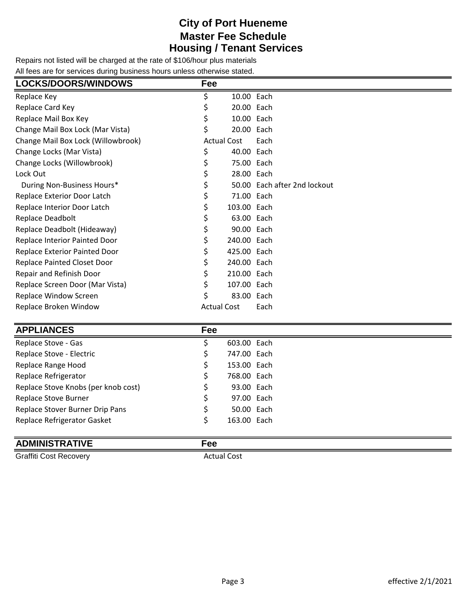### **City of Port Hueneme Master Fee Schedule Housing / Tenant Services**

Repairs not listed will be charged at the rate of \$106/hour plus materials All fees are for services during business hours unless otherwise stated.

| <b>LOCKS/DOORS/WINDOWS</b>         | Fee                |             |                              |
|------------------------------------|--------------------|-------------|------------------------------|
| Replace Key                        | \$                 | 10.00 Each  |                              |
| Replace Card Key                   |                    | 20.00 Each  |                              |
| Replace Mail Box Key               |                    | 10.00 Each  |                              |
| Change Mail Box Lock (Mar Vista)   | \$                 | 20.00 Each  |                              |
| Change Mail Box Lock (Willowbrook) | <b>Actual Cost</b> |             | Each                         |
| Change Locks (Mar Vista)           | \$                 | 40.00 Each  |                              |
| Change Locks (Willowbrook)         | \$                 | 75.00 Each  |                              |
| Lock Out                           | \$                 | 28.00 Each  |                              |
| During Non-Business Hours*         |                    |             | 50.00 Each after 2nd lockout |
| Replace Exterior Door Latch        |                    | 71.00 Each  |                              |
| Replace Interior Door Latch        | \$                 | 103.00 Each |                              |
| Replace Deadbolt                   | \$                 | 63.00 Each  |                              |
| Replace Deadbolt (Hideaway)        |                    | 90.00 Each  |                              |
| Replace Interior Painted Door      | \$                 | 240.00 Each |                              |
| Replace Exterior Painted Door      | \$                 | 425.00 Each |                              |
| <b>Replace Painted Closet Door</b> | \$                 | 240.00 Each |                              |
| Repair and Refinish Door           | \$                 | 210.00 Each |                              |
| Replace Screen Door (Mar Vista)    |                    | 107.00 Each |                              |
| Replace Window Screen              | Ś                  | 83.00 Each  |                              |
| Replace Broken Window              | <b>Actual Cost</b> |             | Each                         |

| <b>APPLIANCES</b>                   | Fee |             |
|-------------------------------------|-----|-------------|
| Replace Stove - Gas                 |     | 603.00 Each |
| Replace Stove - Electric            |     | 747.00 Each |
| Replace Range Hood                  |     | 153.00 Each |
| Replace Refrigerator                |     | 768.00 Each |
| Replace Stove Knobs (per knob cost) |     | 93.00 Each  |
| Replace Stove Burner                |     | 97.00 Each  |
| Replace Stover Burner Drip Pans     |     | 50.00 Each  |
| Replace Refrigerator Gasket         |     | 163.00 Each |
|                                     |     |             |

#### **ADMINISTRATIVE Fee**

Graffiti Cost Recovery **Actual Cost** Actual Cost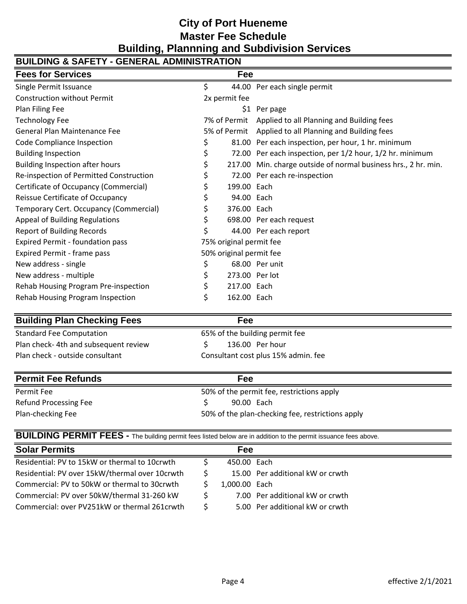## **City of Port Hueneme Master Fee Schedule Building, Plannning and Subdivision Services**

| <b>BUILDING &amp; SAFETY - GENERAL ADMINISTRATION</b> |    |                         |                                                                |  |  |  |
|-------------------------------------------------------|----|-------------------------|----------------------------------------------------------------|--|--|--|
| <b>Fees for Services</b>                              |    | Fee                     |                                                                |  |  |  |
| Single Permit Issuance                                | \$ |                         | 44.00 Per each single permit                                   |  |  |  |
| <b>Construction without Permit</b>                    |    | 2x permit fee           |                                                                |  |  |  |
| Plan Filing Fee                                       |    |                         | \$1 Per page                                                   |  |  |  |
| <b>Technology Fee</b>                                 |    | 7% of Permit            | Applied to all Planning and Building fees                      |  |  |  |
| General Plan Maintenance Fee                          |    |                         | 5% of Permit Applied to all Planning and Building fees         |  |  |  |
| Code Compliance Inspection                            | Ş  |                         | 81.00 Per each inspection, per hour, 1 hr. minimum             |  |  |  |
| <b>Building Inspection</b>                            | \$ |                         | 72.00 Per each inspection, per 1/2 hour, 1/2 hr. minimum       |  |  |  |
| <b>Building Inspection after hours</b>                |    |                         | 217.00 Min. charge outside of normal business hrs., 2 hr. min. |  |  |  |
| Re-inspection of Permitted Construction               |    |                         | 72.00 Per each re-inspection                                   |  |  |  |
| Certificate of Occupancy (Commercial)                 |    | 199.00 Each             |                                                                |  |  |  |
| Reissue Certificate of Occupancy                      |    | 94.00 Each              |                                                                |  |  |  |
| Temporary Cert. Occupancy (Commercial)                |    | 376.00 Each             |                                                                |  |  |  |
| Appeal of Building Regulations                        |    |                         | 698.00 Per each request                                        |  |  |  |
| <b>Report of Building Records</b>                     |    |                         | 44.00 Per each report                                          |  |  |  |
| <b>Expired Permit - foundation pass</b>               |    | 75% original permit fee |                                                                |  |  |  |
| Expired Permit - frame pass                           |    | 50% original permit fee |                                                                |  |  |  |
| New address - single                                  | \$ |                         | 68.00 Per unit                                                 |  |  |  |
| New address - multiple                                | Ş  | 273.00 Per lot          |                                                                |  |  |  |
| Rehab Housing Program Pre-inspection                  |    | 217.00 Each             |                                                                |  |  |  |
| Rehab Housing Program Inspection                      | \$ | 162.00 Each             |                                                                |  |  |  |

#### **Building Plan Checking Fees Fee**

| י פט                                |
|-------------------------------------|
| 65% of the building permit fee      |
| 136.00 Per hour                     |
| Consultant cost plus 15% admin. fee |
|                                     |

| <b>Permit Fee Refunds</b> | Fee                                              |  |  |  |
|---------------------------|--------------------------------------------------|--|--|--|
| Permit Fee                | 50% of the permit fee, restrictions apply        |  |  |  |
| Refund Processing Fee     | 90.00 Each                                       |  |  |  |
| Plan-checking Fee         | 50% of the plan-checking fee, restrictions apply |  |  |  |

| <b>BUILDING PERMIT FEES</b> - The building permit fees listed below are in addition to the permit issuance fees above. |  |  |  |
|------------------------------------------------------------------------------------------------------------------------|--|--|--|

| <b>Solar Permits</b>                           | Fee           |                                  |
|------------------------------------------------|---------------|----------------------------------|
| Residential: PV to 15kW or thermal to 10crwth  | 450.00 Each   |                                  |
| Residential: PV over 15kW/thermal over 10crwth |               | 15.00 Per additional kW or crwth |
| Commercial: PV to 50kW or thermal to 30crwth   | 1,000.00 Each |                                  |
| Commercial: PV over 50kW/thermal 31-260 kW     |               | 7.00 Per additional kW or crwth  |
| Commercial: over PV251kW or thermal 261crwth   |               | 5.00 Per additional kW or crwth  |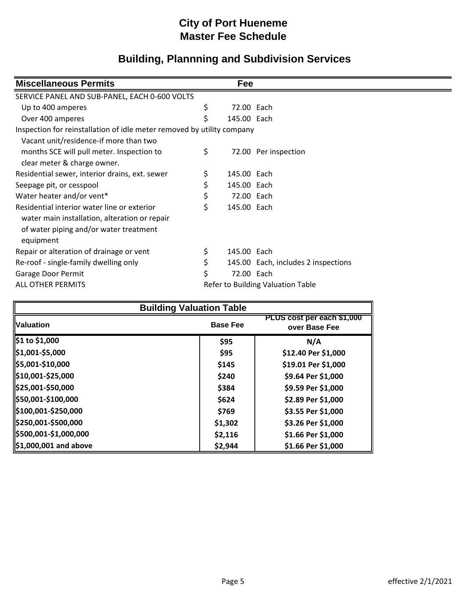| <b>Miscellaneous Permits</b>                                           | Fee               |                                     |
|------------------------------------------------------------------------|-------------------|-------------------------------------|
| SERVICE PANEL AND SUB-PANEL, EACH 0-600 VOLTS                          |                   |                                     |
| Up to 400 amperes                                                      | \$<br>72.00 Each  |                                     |
| Over 400 amperes                                                       | \$<br>145.00 Each |                                     |
| Inspection for reinstallation of idle meter removed by utility company |                   |                                     |
| Vacant unit/residence-if more than two                                 |                   |                                     |
| months SCE will pull meter. Inspection to                              | \$                | 72.00 Per inspection                |
| clear meter & charge owner.                                            |                   |                                     |
| Residential sewer, interior drains, ext. sewer                         | \$<br>145.00 Each |                                     |
| Seepage pit, or cesspool                                               | 145.00 Each       |                                     |
| Water heater and/or vent*                                              | \$<br>72.00 Each  |                                     |
| Residential interior water line or exterior                            | \$<br>145.00 Each |                                     |
| water main installation, alteration or repair                          |                   |                                     |
| of water piping and/or water treatment                                 |                   |                                     |
| equipment                                                              |                   |                                     |
| Repair or alteration of drainage or vent                               | \$<br>145.00 Each |                                     |
| Re-roof - single-family dwelling only                                  |                   | 145.00 Each, includes 2 inspections |
| Garage Door Permit                                                     | \$<br>72.00 Each  |                                     |
| ALL OTHER PERMITS                                                      |                   | Refer to Building Valuation Table   |

| <b>Building Valuation Table</b> |                 |                                             |  |  |  |
|---------------------------------|-----------------|---------------------------------------------|--|--|--|
| <b>Valuation</b>                | <b>Base Fee</b> | PLUS cost per each \$1,000<br>over Base Fee |  |  |  |
| \$1 to \$1,000                  | \$95            | N/A                                         |  |  |  |
| $\frac{1}{2}$ \$1,001-\$5,000   | \$95            | \$12.40 Per \$1,000                         |  |  |  |
| \$5,001-\$10,000                | \$145           | \$19.01 Per \$1,000                         |  |  |  |
| \$10,001-\$25,000               | \$240           | \$9.64 Per \$1,000                          |  |  |  |
| \$25,001-\$50,000               | \$384           | \$9.59 Per \$1,000                          |  |  |  |
| \$50,001-\$100,000              | \$624           | \$2.89 Per \$1,000                          |  |  |  |
| \$100,001-\$250,000             | \$769           | \$3.55 Per \$1,000                          |  |  |  |
| \$250,001-\$500,000             | \$1,302         | \$3.26 Per \$1,000                          |  |  |  |
| \$500,001-\$1,000,000           | \$2,116         | \$1.66 Per \$1,000                          |  |  |  |
| \$1,000,001 and above           | \$2,944         | \$1.66 Per \$1,000                          |  |  |  |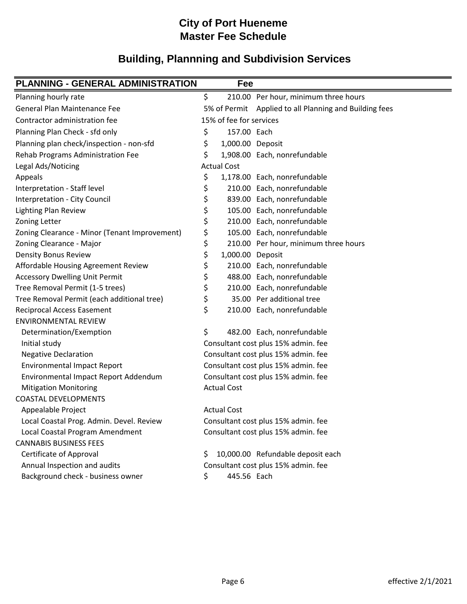| <b>PLANNING - GENERAL ADMINISTRATION</b>      | Fee                     |                                                        |
|-----------------------------------------------|-------------------------|--------------------------------------------------------|
| Planning hourly rate                          | \$                      | 210.00 Per hour, minimum three hours                   |
| General Plan Maintenance Fee                  |                         | 5% of Permit Applied to all Planning and Building fees |
| Contractor administration fee                 | 15% of fee for services |                                                        |
| Planning Plan Check - sfd only                | \$<br>157.00 Each       |                                                        |
| Planning plan check/inspection - non-sfd      | \$<br>1,000.00 Deposit  |                                                        |
| Rehab Programs Administration Fee             | \$                      | 1,908.00 Each, nonrefundable                           |
| Legal Ads/Noticing                            | <b>Actual Cost</b>      |                                                        |
| Appeals                                       | \$                      | 1,178.00 Each, nonrefundable                           |
| Interpretation - Staff level                  | \$                      | 210.00 Each, nonrefundable                             |
| Interpretation - City Council                 | \$                      | 839.00 Each, nonrefundable                             |
| <b>Lighting Plan Review</b>                   | \$                      | 105.00 Each, nonrefundable                             |
| Zoning Letter                                 | \$                      | 210.00 Each, nonrefundable                             |
| Zoning Clearance - Minor (Tenant Improvement) | \$                      | 105.00 Each, nonrefundable                             |
| Zoning Clearance - Major                      | \$                      | 210.00 Per hour, minimum three hours                   |
| <b>Density Bonus Review</b>                   | \$<br>1,000.00 Deposit  |                                                        |
| Affordable Housing Agreement Review           | \$                      | 210.00 Each, nonrefundable                             |
| <b>Accessory Dwelling Unit Permit</b>         | \$                      | 488.00 Each, nonrefundable                             |
| Tree Removal Permit (1-5 trees)               | \$                      | 210.00 Each, nonrefundable                             |
| Tree Removal Permit (each additional tree)    | \$                      | 35.00 Per additional tree                              |
| <b>Reciprocal Access Easement</b>             | \$                      | 210.00 Each, nonrefundable                             |
| <b>ENVIRONMENTAL REVIEW</b>                   |                         |                                                        |
| Determination/Exemption                       | \$                      | 482.00 Each, nonrefundable                             |
| Initial study                                 |                         | Consultant cost plus 15% admin. fee                    |
| <b>Negative Declaration</b>                   |                         | Consultant cost plus 15% admin. fee                    |
| <b>Environmental Impact Report</b>            |                         | Consultant cost plus 15% admin. fee                    |
| Environmental Impact Report Addendum          |                         | Consultant cost plus 15% admin. fee                    |
| <b>Mitigation Monitoring</b>                  | <b>Actual Cost</b>      |                                                        |
| <b>COASTAL DEVELOPMENTS</b>                   |                         |                                                        |
| Appealable Project                            | <b>Actual Cost</b>      |                                                        |
| Local Coastal Prog. Admin. Devel. Review      |                         | Consultant cost plus 15% admin. fee                    |
| Local Coastal Program Amendment               |                         | Consultant cost plus 15% admin. fee                    |
| <b>CANNABIS BUSINESS FEES</b>                 |                         |                                                        |
| Certificate of Approval                       | \$                      | 10,000.00 Refundable deposit each                      |
| Annual Inspection and audits                  |                         | Consultant cost plus 15% admin. fee                    |
| Background check - business owner             | \$<br>445.56 Each       |                                                        |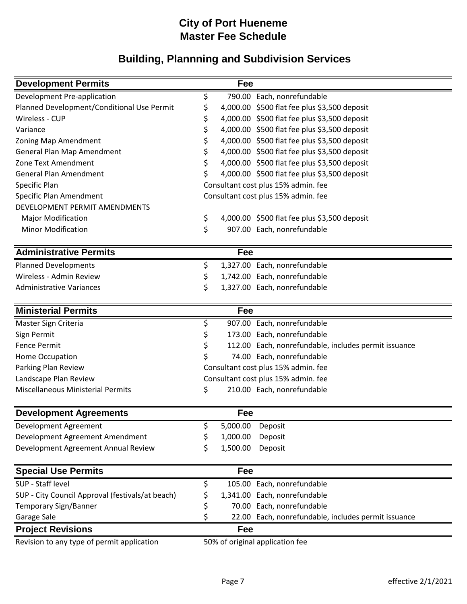| <b>Development Permits</b>                       | Fee            |                                                      |
|--------------------------------------------------|----------------|------------------------------------------------------|
| Development Pre-application                      | \$             | 790.00 Each, nonrefundable                           |
| Planned Development/Conditional Use Permit       | \$             | 4,000.00 \$500 flat fee plus \$3,500 deposit         |
| Wireless - CUP                                   | \$             | 4,000.00 \$500 flat fee plus \$3,500 deposit         |
| Variance                                         | \$             | 4,000.00 \$500 flat fee plus \$3,500 deposit         |
| Zoning Map Amendment                             | \$             | 4,000.00 \$500 flat fee plus \$3,500 deposit         |
| General Plan Map Amendment                       | \$             | 4,000.00 \$500 flat fee plus \$3,500 deposit         |
| Zone Text Amendment                              | \$             | 4,000.00 \$500 flat fee plus \$3,500 deposit         |
| <b>General Plan Amendment</b>                    | \$             | 4,000.00 \$500 flat fee plus \$3,500 deposit         |
| Specific Plan                                    |                | Consultant cost plus 15% admin. fee                  |
| Specific Plan Amendment                          |                | Consultant cost plus 15% admin. fee                  |
| DEVELOPMENT PERMIT AMENDMENTS                    |                |                                                      |
| <b>Major Modification</b>                        | \$             | 4,000.00 \$500 flat fee plus \$3,500 deposit         |
| <b>Minor Modification</b>                        | \$             | 907.00 Each, nonrefundable                           |
| <b>Administrative Permits</b>                    | Fee            |                                                      |
| <b>Planned Developments</b>                      | \$             | 1,327.00 Each, nonrefundable                         |
| Wireless - Admin Review                          | \$             | 1,742.00 Each, nonrefundable                         |
| <b>Administrative Variances</b>                  | \$             | 1,327.00 Each, nonrefundable                         |
| <b>Ministerial Permits</b>                       | Fee            |                                                      |
| Master Sign Criteria                             | \$             | 907.00 Each, nonrefundable                           |
| Sign Permit                                      | \$             | 173.00 Each, nonrefundable                           |
| <b>Fence Permit</b>                              | \$             | 112.00 Each, nonrefundable, includes permit issuance |
| Home Occupation                                  | \$             | 74.00 Each, nonrefundable                            |
| Parking Plan Review                              |                | Consultant cost plus 15% admin. fee                  |
| Landscape Plan Review                            |                | Consultant cost plus 15% admin. fee                  |
| <b>Miscellaneous Ministerial Permits</b>         | \$             | 210.00 Each, nonrefundable                           |
| <b>Development Agreements</b>                    | Fee            |                                                      |
| Development Agreement                            | \$<br>5,000.00 | Deposit                                              |
| Development Agreement Amendment                  | \$<br>1,000.00 | Deposit                                              |
| Development Agreement Annual Review              | \$<br>1,500.00 | Deposit                                              |
| <b>Special Use Permits</b>                       | Fee            |                                                      |
| SUP - Staff level                                | \$             | 105.00 Each, nonrefundable                           |
| SUP - City Council Approval (festivals/at beach) | \$             | 1,341.00 Each, nonrefundable                         |
| <b>Temporary Sign/Banner</b>                     | \$             | 70.00 Each, nonrefundable                            |
| Garage Sale                                      | \$             | 22.00 Each, nonrefundable, includes permit issuance  |
| <b>Project Revisions</b>                         | Fee            |                                                      |
| Revision to any type of permit application       |                | 50% of original application fee                      |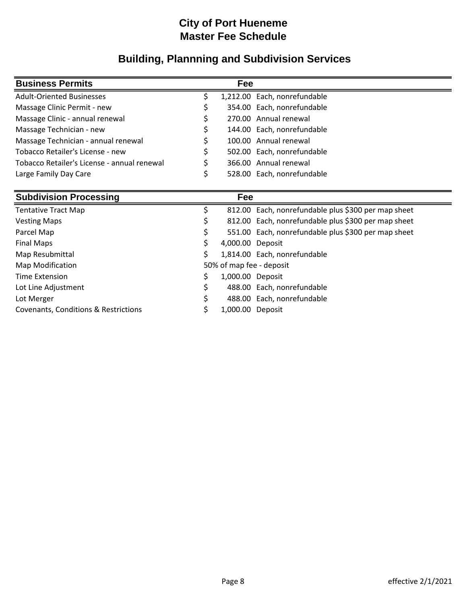| <b>Business Permits</b>                     |   | Fee |                              |
|---------------------------------------------|---|-----|------------------------------|
| <b>Adult-Oriented Businesses</b>            |   |     | 1,212.00 Each, nonrefundable |
| Massage Clinic Permit - new                 |   |     | 354.00 Each, nonrefundable   |
| Massage Clinic - annual renewal             |   |     | 270.00 Annual renewal        |
| Massage Technician - new                    | S |     | 144.00 Each, nonrefundable   |
| Massage Technician - annual renewal         |   |     | 100.00 Annual renewal        |
| Tobacco Retailer's License - new            |   |     | 502.00 Each, nonrefundable   |
| Tobacco Retailer's License - annual renewal |   |     | 366.00 Annual renewal        |
| Large Family Day Care                       |   |     | 528.00 Each, nonrefundable   |
|                                             |   |     |                              |

|   | Fee              |                                                     |
|---|------------------|-----------------------------------------------------|
|   |                  | 812.00 Each, nonrefundable plus \$300 per map sheet |
| S |                  | 812.00 Each, nonrefundable plus \$300 per map sheet |
|   |                  | 551.00 Each, nonrefundable plus \$300 per map sheet |
|   | 4,000.00 Deposit |                                                     |
| S |                  | 1,814.00 Each, nonrefundable                        |
|   |                  |                                                     |
|   | 1,000.00 Deposit |                                                     |
|   |                  | 488.00 Each, nonrefundable                          |
|   |                  | 488.00 Each, nonrefundable                          |
|   | 1,000.00 Deposit |                                                     |
|   |                  | 50% of map fee - deposit                            |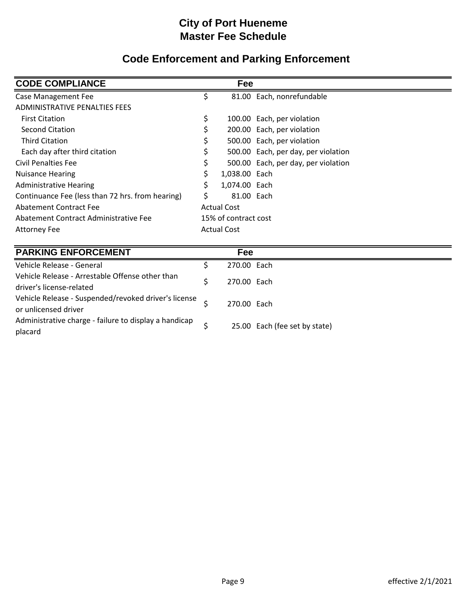# **Code Enforcement and Parking Enforcement**

| <b>CODE COMPLIANCE</b>                           |                      | Fee                |                                     |
|--------------------------------------------------|----------------------|--------------------|-------------------------------------|
| <b>Case Management Fee</b>                       | \$                   |                    | 81.00 Each, nonrefundable           |
| ADMINISTRATIVE PENALTIES FEES                    |                      |                    |                                     |
| <b>First Citation</b>                            | \$                   |                    | 100.00 Each, per violation          |
| Second Citation                                  | \$                   |                    | 200.00 Each, per violation          |
| <b>Third Citation</b>                            | Ś                    |                    | 500.00 Each, per violation          |
| Each day after third citation                    |                      |                    | 500.00 Each, per day, per violation |
| Civil Penalties Fee                              |                      |                    | 500.00 Each, per day, per violation |
| <b>Nuisance Hearing</b>                          |                      | 1,038.00 Each      |                                     |
| <b>Administrative Hearing</b>                    | Ś                    | 1,074.00 Each      |                                     |
| Continuance Fee (less than 72 hrs. from hearing) | \$                   | 81.00 Each         |                                     |
| Abatement Contract Fee                           | <b>Actual Cost</b>   |                    |                                     |
| Abatement Contract Administrative Fee            | 15% of contract cost |                    |                                     |
| <b>Attorney Fee</b>                              |                      | <b>Actual Cost</b> |                                     |

| <b>PARKING ENFORCEMENT</b>                            | Fee         |                               |
|-------------------------------------------------------|-------------|-------------------------------|
| Vehicle Release - General                             | 270.00 Each |                               |
| Vehicle Release - Arrestable Offense other than       | 270.00 Each |                               |
| driver's license-related                              |             |                               |
| Vehicle Release - Suspended/revoked driver's license  | 270.00 Each |                               |
| or unlicensed driver                                  |             |                               |
| Administrative charge - failure to display a handicap |             | 25.00 Each (fee set by state) |
| placard                                               |             |                               |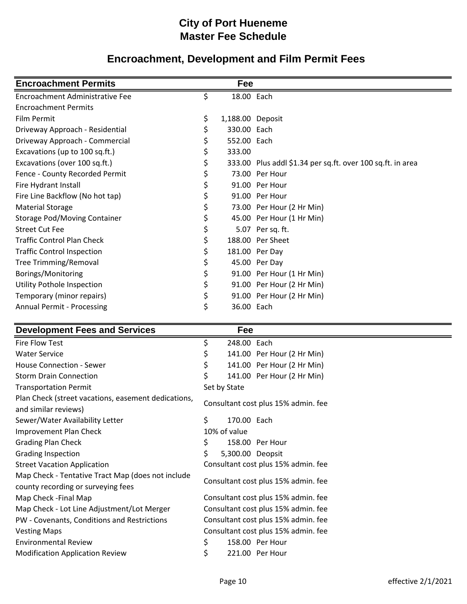# **Encroachment, Development and Film Permit Fees**

| <b>Encroachment Permits</b>         | Fee                    |                                                            |
|-------------------------------------|------------------------|------------------------------------------------------------|
| Encroachment Administrative Fee     | \$<br>18.00 Each       |                                                            |
| <b>Encroachment Permits</b>         |                        |                                                            |
| Film Permit                         | \$<br>1,188.00 Deposit |                                                            |
| Driveway Approach - Residential     | \$<br>330.00 Each      |                                                            |
| Driveway Approach - Commercial      | \$<br>552.00 Each      |                                                            |
| Excavations (up to 100 sq.ft.)      | \$<br>333.00           |                                                            |
| Excavations (over 100 sq.ft.)       | \$                     | 333.00 Plus addl \$1.34 per sq.ft. over 100 sq.ft. in area |
| Fence - County Recorded Permit      | \$                     | 73.00 Per Hour                                             |
| Fire Hydrant Install                | \$                     | 91.00 Per Hour                                             |
| Fire Line Backflow (No hot tap)     | \$                     | 91.00 Per Hour                                             |
| <b>Material Storage</b>             | \$                     | 73.00 Per Hour (2 Hr Min)                                  |
| <b>Storage Pod/Moving Container</b> | \$                     | 45.00 Per Hour (1 Hr Min)                                  |
| <b>Street Cut Fee</b>               | \$                     | 5.07 Per sq. ft.                                           |
| <b>Traffic Control Plan Check</b>   | \$                     | 188.00 Per Sheet                                           |
| <b>Traffic Control Inspection</b>   | \$                     | 181.00 Per Day                                             |
| <b>Tree Trimming/Removal</b>        | \$                     | 45.00 Per Day                                              |
| Borings/Monitoring                  | \$                     | 91.00 Per Hour (1 Hr Min)                                  |
| Utility Pothole Inspection          | \$                     | 91.00 Per Hour (2 Hr Min)                                  |
| Temporary (minor repairs)           | \$                     | 91.00 Per Hour (2 Hr Min)                                  |
| <b>Annual Permit - Processing</b>   | \$<br>36.00 Each       |                                                            |

| <b>Development Fees and Services</b>                                                    | Fee                                 |
|-----------------------------------------------------------------------------------------|-------------------------------------|
| Fire Flow Test                                                                          | 248.00 Each<br>\$                   |
| <b>Water Service</b>                                                                    | 141.00 Per Hour (2 Hr Min)          |
| <b>House Connection - Sewer</b>                                                         | \$<br>141.00 Per Hour (2 Hr Min)    |
| <b>Storm Drain Connection</b>                                                           | \$<br>141.00 Per Hour (2 Hr Min)    |
| <b>Transportation Permit</b>                                                            | Set by State                        |
| Plan Check (street vacations, easement dedications,<br>and similar reviews)             | Consultant cost plus 15% admin. fee |
| Sewer/Water Availability Letter                                                         | \$<br>170.00 Each                   |
| Improvement Plan Check                                                                  | 10% of value                        |
| <b>Grading Plan Check</b>                                                               | 158.00 Per Hour                     |
| <b>Grading Inspection</b>                                                               | 5,300.00 Deopsit                    |
| <b>Street Vacation Application</b>                                                      | Consultant cost plus 15% admin. fee |
| Map Check - Tentative Tract Map (does not include<br>county recording or surveying fees | Consultant cost plus 15% admin. fee |
| Map Check - Final Map                                                                   | Consultant cost plus 15% admin. fee |
| Map Check - Lot Line Adjustment/Lot Merger                                              | Consultant cost plus 15% admin. fee |
| PW - Covenants, Conditions and Restrictions                                             | Consultant cost plus 15% admin. fee |
| <b>Vesting Maps</b>                                                                     | Consultant cost plus 15% admin. fee |
| <b>Environmental Review</b>                                                             | \$<br>158.00 Per Hour               |
| <b>Modification Application Review</b>                                                  | \$<br>221.00 Per Hour               |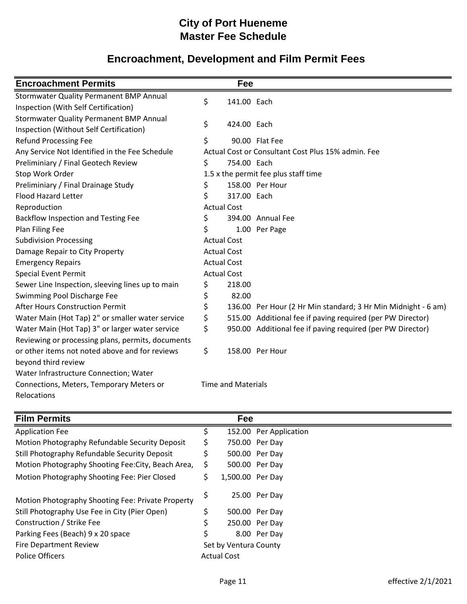# **Encroachment, Development and Film Permit Fees**

| <b>Encroachment Permits</b>                                                               |                    | Fee                       |                                                               |
|-------------------------------------------------------------------------------------------|--------------------|---------------------------|---------------------------------------------------------------|
| <b>Stormwater Quality Permanent BMP Annual</b><br>Inspection (With Self Certification)    | \$                 | 141.00 Each               |                                                               |
| <b>Stormwater Quality Permanent BMP Annual</b><br>Inspection (Without Self Certification) | \$                 | 424.00 Each               |                                                               |
| <b>Refund Processing Fee</b>                                                              | \$                 |                           | 90.00 Flat Fee                                                |
| Any Service Not Identified in the Fee Schedule                                            |                    |                           | Actual Cost or Consultant Cost Plus 15% admin. Fee            |
| Preliminiary / Final Geotech Review                                                       | \$                 | 754.00 Each               |                                                               |
| Stop Work Order                                                                           |                    |                           | 1.5 x the permit fee plus staff time                          |
| Preliminiary / Final Drainage Study                                                       | \$                 |                           | 158.00 Per Hour                                               |
| <b>Flood Hazard Letter</b>                                                                | \$                 | 317.00 Each               |                                                               |
| Reproduction                                                                              | <b>Actual Cost</b> |                           |                                                               |
| Backflow Inspection and Testing Fee                                                       | \$                 |                           | 394.00 Annual Fee                                             |
| Plan Filing Fee                                                                           | \$                 |                           | 1.00 Per Page                                                 |
| <b>Subdivision Processing</b>                                                             | <b>Actual Cost</b> |                           |                                                               |
| Damage Repair to City Property                                                            |                    | <b>Actual Cost</b>        |                                                               |
| <b>Emergency Repairs</b>                                                                  | <b>Actual Cost</b> |                           |                                                               |
| <b>Special Event Permit</b>                                                               | <b>Actual Cost</b> |                           |                                                               |
| Sewer Line Inspection, sleeving lines up to main                                          | \$                 | 218.00                    |                                                               |
| Swimming Pool Discharge Fee                                                               | \$                 | 82.00                     |                                                               |
| After Hours Construction Permit                                                           | \$                 |                           | 136.00 Per Hour (2 Hr Min standard; 3 Hr Min Midnight - 6 am) |
| Water Main (Hot Tap) 2" or smaller water service                                          | \$                 |                           | 515.00 Additional fee if paving required (per PW Director)    |
| Water Main (Hot Tap) 3" or larger water service                                           | \$                 |                           | 950.00 Additional fee if paving required (per PW Director)    |
| Reviewing or processing plans, permits, documents                                         |                    |                           |                                                               |
| or other items not noted above and for reviews                                            | \$                 |                           | 158.00 Per Hour                                               |
| beyond third review                                                                       |                    |                           |                                                               |
| Water Infrastructure Connection; Water                                                    |                    |                           |                                                               |
| Connections, Meters, Temporary Meters or                                                  |                    | <b>Time and Materials</b> |                                                               |
| Relocations                                                                               |                    |                           |                                                               |

| <b>Film Permits</b>                                |                       | Fee                |                        |
|----------------------------------------------------|-----------------------|--------------------|------------------------|
| <b>Application Fee</b>                             | S                     |                    | 152.00 Per Application |
| Motion Photography Refundable Security Deposit     |                       |                    | 750.00 Per Day         |
| Still Photography Refundable Security Deposit      |                       |                    | 500.00 Per Day         |
| Motion Photography Shooting Fee: City, Beach Area, | Ś                     |                    | 500.00 Per Day         |
| Motion Photography Shooting Fee: Pier Closed       | \$                    | 1,500.00 Per Day   |                        |
| Motion Photography Shooting Fee: Private Property  | Ş                     |                    | 25.00 Per Day          |
| Still Photography Use Fee in City (Pier Open)      | \$                    |                    | 500.00 Per Day         |
| Construction / Strike Fee                          |                       |                    | 250.00 Per Day         |
| Parking Fees (Beach) 9 x 20 space                  | \$                    |                    | 8.00 Per Day           |
| <b>Fire Department Review</b>                      | Set by Ventura County |                    |                        |
| <b>Police Officers</b>                             |                       | <b>Actual Cost</b> |                        |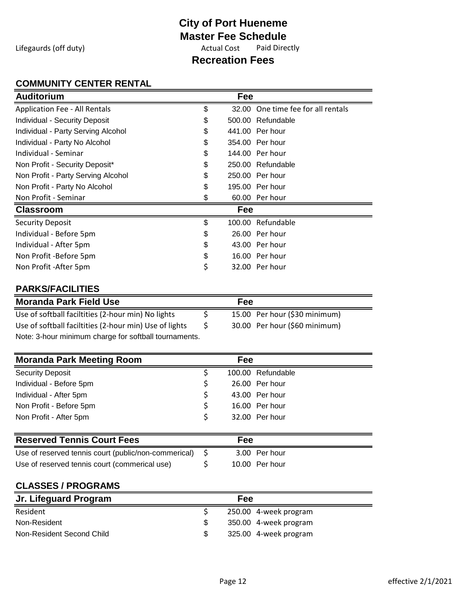Lifegaurds (off duty) and the Cost Actual Cost Paid Directly

## **Recreation Fees**

#### **COMMUNITY CENTER RENTAL**

| <b>Auditorium</b>                                      |          | Fee |                                    |
|--------------------------------------------------------|----------|-----|------------------------------------|
| <b>Application Fee - All Rentals</b>                   | \$       |     | 32.00 One time fee for all rentals |
| <b>Individual - Security Deposit</b>                   | \$       |     | 500.00 Refundable                  |
| Individual - Party Serving Alcohol                     | \$       |     | 441.00 Per hour                    |
| Individual - Party No Alcohol                          | \$       |     | 354.00 Per hour                    |
| Individual - Seminar                                   | \$       |     | 144.00 Per hour                    |
| Non Profit - Security Deposit*                         | \$       |     | 250.00 Refundable                  |
| Non Profit - Party Serving Alcohol                     | \$       |     | 250.00 Per hour                    |
| Non Profit - Party No Alcohol                          | \$       |     | 195.00 Per hour                    |
| Non Profit - Seminar                                   | \$       |     | 60.00 Per hour                     |
| <b>Classroom</b>                                       |          | Fee |                                    |
| <b>Security Deposit</b>                                | \$       |     | 100.00 Refundable                  |
| Individual - Before 5pm                                | \$       |     | 26.00 Per hour                     |
| Individual - After 5pm                                 | \$       |     | 43.00 Per hour                     |
| Non Profit -Before 5pm                                 | \$       |     | 16.00 Per hour                     |
| Non Profit - After 5pm                                 | \$       |     | 32.00 Per hour                     |
| <b>PARKS/FACILITIES</b>                                |          |     |                                    |
| <b>Moranda Park Field Use</b>                          |          | Fee |                                    |
| Use of softball faciltities (2-hour min) No lights     | \$       |     | 15.00 Per hour (\$30 minimum)      |
| Use of softball faciltities (2-hour min) Use of lights | \$       |     | 30.00 Per hour (\$60 minimum)      |
| Note: 3-hour minimum charge for softball tournaments.  |          |     |                                    |
| <b>Moranda Park Meeting Room</b>                       |          | Fee |                                    |
| <b>Security Deposit</b>                                | \$       |     | 100.00 Refundable                  |
| Individual - Before 5pm                                | \$       |     | 26.00 Per hour                     |
| Individual - After 5pm                                 | \$       |     | 43.00 Per hour                     |
| Non Profit - Before 5pm                                | \$       |     | 16.00 Per hour                     |
| Non Profit - After 5pm                                 | \$       |     | 32.00 Per hour                     |
| <b>Reserved Tennis Court Fees</b>                      |          | Fee |                                    |
| Use of reserved tennis court (public/non-commerical)   |          |     | 3.00 Per hour                      |
| Use of reserved tennis court (commerical use)          | \$<br>\$ |     | 10.00 Per hour                     |
|                                                        |          |     |                                    |
| <b>CLASSES / PROGRAMS</b>                              |          |     |                                    |
| Jr. Lifeguard Program                                  |          | Fee |                                    |
| Resident                                               | \$       |     | 250.00 4-week program              |
| Non-Resident                                           | \$       |     | 350.00 4-week program              |